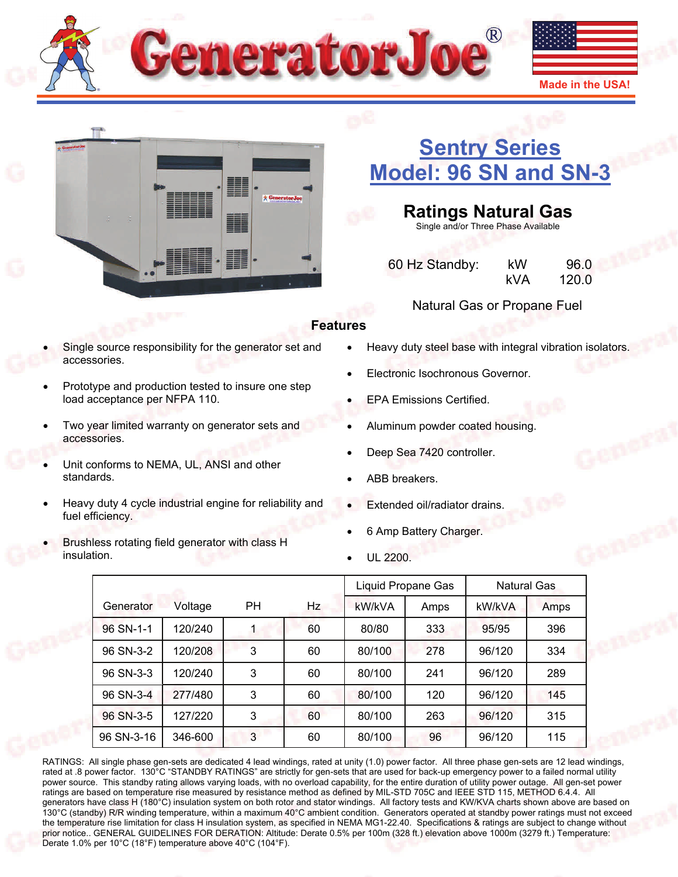



# **[Sentry Series](http://www.generatorjoe.net/product.asp?0=205&1=565&3=4365)  [Model: 96 SN and SN-3](http://www.generatorjoe.net/product.asp?0=205&1=565&3=4365)**

**Ratings Natural Gas**  Single and/or Three Phase Available

 60 Hz Standby: kW 96.0 kVA 120.0

## Natural Gas or Propane Fuel

## **Features**

- Single source responsibility for the generator set and accessories.
- Prototype and production tested to insure one step load acceptance per NFPA 110.
- Two year limited warranty on generator sets and accessories.
- Unit conforms to NEMA, UL, ANSI and other standards.
- Heavy duty 4 cycle industrial engine for reliability and fuel efficiency.
- Brushless rotating field generator with class H insulation.
- Heavy duty steel base with integral vibration isolators.
- Electronic Isochronous Governor.
- EPA Emissions Certified.
- Aluminum powder coated housing.
- Deep Sea 7420 controller.
- ABB breakers.
- Extended oil/radiator drains.
- 6 Amp Battery Charger.
- UL 2200.

|            |         |           |    |        | Liquid Propane Gas | <b>Natural Gas</b> |      |
|------------|---------|-----------|----|--------|--------------------|--------------------|------|
| Generator  | Voltage | <b>PH</b> | Hz | kW/kVA | Amps               | kW/kVA             | Amps |
| 96 SN-1-1  | 120/240 |           | 60 | 80/80  | 333                | 95/95              | 396  |
| 96 SN-3-2  | 120/208 | 3         | 60 | 80/100 | 278                | 96/120             | 334  |
| 96 SN-3-3  | 120/240 | 3         | 60 | 80/100 | 241                | 96/120             | 289  |
| 96 SN-3-4  | 277/480 | 3         | 60 | 80/100 | 120                | 96/120             | 145  |
| 96 SN-3-5  | 127/220 | 3         | 60 | 80/100 | 263                | 96/120             | 315  |
| 96 SN-3-16 | 346-600 | 3         | 60 | 80/100 | 96                 | 96/120             | 115  |

RATINGS: All single phase gen-sets are dedicated 4 lead windings, rated at unity (1.0) power factor. All three phase gen-sets are 12 lead windings, rated at .8 power factor. 130°C "STANDBY RATINGS" are strictly for gen-sets that are used for back-up emergency power to a failed normal utility power source. This standby rating allows varying loads, with no overload capability, for the entire duration of utility power outage. All gen-set power ratings are based on temperature rise measured by resistance method as defined by MIL-STD 705C and IEEE STD 115, METHOD 6.4.4. All generators have class H (180°C) insulation system on both rotor and stator windings. All factory tests and KW/KVA charts shown above are based on 130°C (standby) R/R winding temperature, within a maximum 40°C ambient condition. Generators operated at standby power ratings must not exceed the temperature rise limitation for class H insulation system, as specified in NEMA MG1-22.40. Specifications & ratings are subject to change without prior notice.. GENERAL GUIDELINES FOR DERATION: Altitude: Derate 0.5% per 100m (328 ft.) elevation above 1000m (3279 ft.) Temperature: Derate 1.0% per 10°C (18°F) temperature above 40°C (104°F).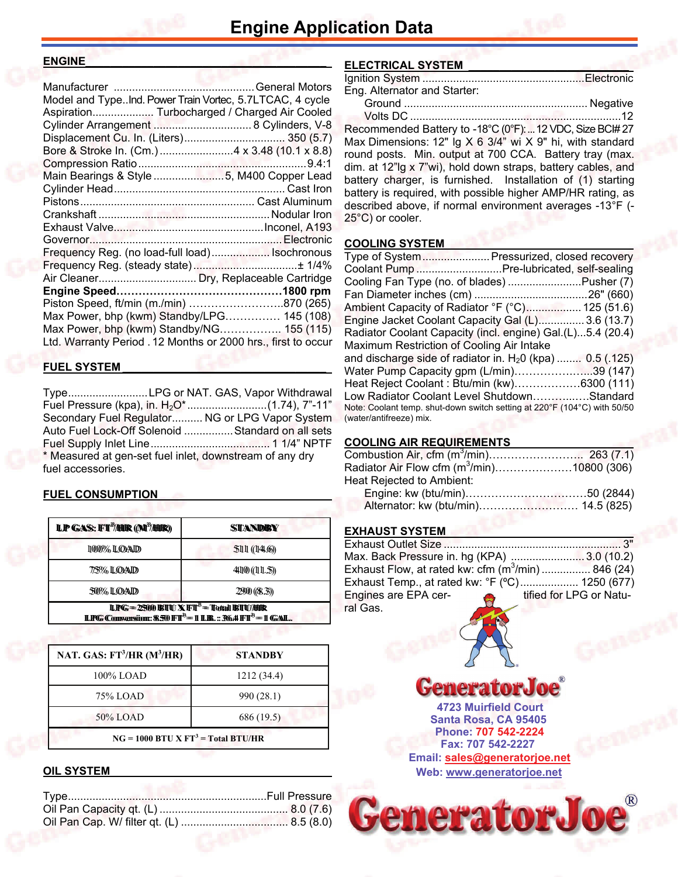#### **ENGINE\_\_\_\_\_\_\_\_\_\_\_\_\_\_\_\_\_\_\_\_\_\_\_\_\_\_\_\_\_\_\_\_\_\_\_\_\_\_\_**

| Model and TypeInd. Power Train Vortec, 5.7LTCAC, 4 cycle      |  |
|---------------------------------------------------------------|--|
| Aspiration Turbocharged / Charged Air Cooled                  |  |
| Cylinder Arrangement  8 Cylinders, V-8                        |  |
|                                                               |  |
|                                                               |  |
|                                                               |  |
| Main Bearings & Style 5, M400 Copper Lead                     |  |
|                                                               |  |
|                                                               |  |
|                                                               |  |
|                                                               |  |
|                                                               |  |
|                                                               |  |
| Frequency Reg. (no load-full load) Isochronous                |  |
|                                                               |  |
|                                                               |  |
|                                                               |  |
| Piston Speed, ft/min (m./min) 870 (265)                       |  |
| Max Power, bhp (kwm) Standby/LPG 145 (108)                    |  |
| Max Power, bhp (kwm) Standby/NG 155 (115)                     |  |
| Ltd. Warranty Period . 12 Months or 2000 hrs., first to occur |  |
|                                                               |  |

#### **FUEL SYSTEM \_\_\_\_\_\_\_\_\_\_\_\_\_\_\_\_\_\_\_\_\_\_\_\_\_\_\_\_\_\_\_\_\_**

Type .......................... LPG or NAT. GAS, Vapor Withdrawal Fuel Pressure (kpa), in. H2O\* .......................... (1.74), 7"-11" Secondary Fuel Regulator .......... NG or LPG Vapor System Auto Fuel Lock-Off Solenoid ................ Standard on all sets Fuel Supply Inlet Line ....................................... 1 1/4" NPTF \* Measured at gen-set fuel inlet, downstream of any dry fuel accessories.

#### **FUEL CONSUMPTION**

| <b>LP GAS: FT<sup>3</sup>/HIR (M<sup>3</sup>/HIR)</b>                                                                                         | STANDEY      |  |  |
|-----------------------------------------------------------------------------------------------------------------------------------------------|--------------|--|--|
| 1000% LOAD                                                                                                                                    | 5111(14.6)   |  |  |
| 775% ILOAID                                                                                                                                   | 41100(111.5) |  |  |
| 50% LOAD                                                                                                                                      | 2900 ((8.3)) |  |  |
| <b>LPG</b> = $2500$ BTU X FT <sup>3</sup> = Total BTU/HR<br><b>LPG Conversion: 8.50 FT<sup>3</sup> = 1 LB.:: 36.4 FT<sup>3</sup> = 1 GAL.</b> |              |  |  |

| NAT. GAS: $FT^3/HR$ (M <sup>3</sup> /HR) | <b>STANDBY</b> |  |  |
|------------------------------------------|----------------|--|--|
| 100% LOAD                                | 1212 (34.4)    |  |  |
| 75% LOAD                                 | 990 (28.1)     |  |  |
| 50% LOAD                                 | 686 (19.5)     |  |  |
| $NG = 1000 BTU X FT3 = Total BTU/HR$     |                |  |  |

## **OIL SYSTEM**

## **ELECTRICAL SYSTEM \_\_\_\_\_\_\_\_\_\_\_\_\_\_\_\_\_\_\_\_\_\_\_\_\_\_**

| Eng. Alternator and Starter: |  |
|------------------------------|--|
|                              |  |
| $\overline{16}$              |  |

 Volts DC .....................................................................12 Recommended Battery to -18°C (0°F): ... 12 VDC, Size BCI# 27 Max Dimensions: 12" lg X 6 3/4" wi X 9" hi, with standard round posts. Min. output at 700 CCA. Battery tray (max. dim. at 12"lg x 7"wi), hold down straps, battery cables, and battery charger, is furnished. Installation of (1) starting battery is required, with possible higher AMP/HR rating, as described above, if normal environment averages -13°F (- 25°C) or cooler.

#### **COOLING SYSTEM**

| Type of System Pressurized, closed recovery                                                         |  |
|-----------------------------------------------------------------------------------------------------|--|
| Coolant Pump  Pre-lubricated, self-sealing                                                          |  |
| Cooling Fan Type (no. of blades) Pusher (7)                                                         |  |
|                                                                                                     |  |
| Ambient Capacity of Radiator °F (°C) 125 (51.6)                                                     |  |
| Engine Jacket Coolant Capacity Gal (L) 3.6 (13.7)                                                   |  |
| Radiator Coolant Capacity (incl. engine) Gal.(L)5.4 (20.4)                                          |  |
| Maximum Restriction of Cooling Air Intake                                                           |  |
| and discharge side of radiator in. $H20$ (kpa)  0.5 (.125)                                          |  |
| Water Pump Capacity gpm (L/min)39 (147)                                                             |  |
| Heat Reject Coolant: Btu/min (kw)6300 (111)                                                         |  |
| Low Radiator Coolant Level ShutdownStandard                                                         |  |
| Note: Coolant temp. shut-down switch setting at 220°F (104°C) with 50/50<br>(water/antifreeze) mix. |  |

## **COOLING AIR REQUIREMENTS**

| Radiator Air Flow cfm (m <sup>3</sup> /min)10800 (306) |  |
|--------------------------------------------------------|--|
| Heat Rejected to Ambient:                              |  |
|                                                        |  |
|                                                        |  |

## **EXHAUST SYSTEM**

| Max. Back Pressure in. hg (KPA) 3.0 (10.2)                       |  |
|------------------------------------------------------------------|--|
| Exhaust Flow, at rated kw: cfm (m <sup>3</sup> /min) 846 (24)    |  |
| Exhaust Temp., at rated kw: °F (°C) 1250 (677)                   |  |
| Engines are EPA cer-<br>tified for LPG or Natu-<br>$\frac{1}{2}$ |  |
| ral Gas.                                                         |  |



**Santa Rosa, CA 95405 4723 Muirfield Court Fax: 707 542-2227 Phone: 707 542-2224 Web: [www.generatorjoe.net](http://www.generatorjoe.net)  Email: [sales@generatorjoe.net](mailto:sales@generatorjoe.net?subject=Your%20products)**

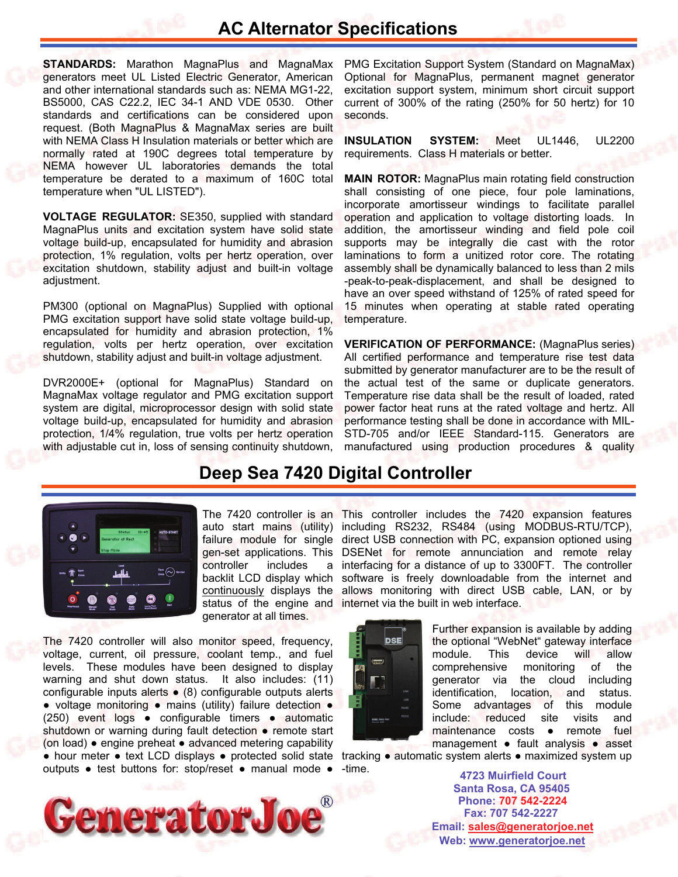## **AC Alternator Specifications**

**STANDARDS:** Marathon MagnaPlus and MagnaMax generators meet UL Listed Electric Generator, American and other international standards such as: NEMA MG1-22, BS5000, CAS C22.2, IEC 34-1 AND VDE 0530. Other standards and certifications can be considered upon request. (Both MagnaPlus & MagnaMax series are built with NEMA Class H Insulation materials or better which are normally rated at 190C degrees total temperature by NEMA however UL laboratories demands the total temperature be derated to a maximum of 160C total temperature when "UL LISTED").

**VOLTAGE REGULATOR:** SE350, supplied with standard MagnaPlus units and excitation system have solid state voltage build-up, encapsulated for humidity and abrasion protection, 1% regulation, volts per hertz operation, over excitation shutdown, stability adjust and built-in voltage adjustment.

PM300 (optional on MagnaPlus) Supplied with optional PMG excitation support have solid state voltage build-up, encapsulated for humidity and abrasion protection, 1% regulation, volts per hertz operation, over excitation shutdown, stability adjust and built-in voltage adjustment.

DVR2000E+ (optional for MagnaPlus) Standard on MagnaMax voltage regulator and PMG excitation support system are digital, microprocessor design with solid state voltage build-up, encapsulated for humidity and abrasion protection, 1/4% regulation, true volts per hertz operation with adjustable cut in, loss of sensing continuity shutdown, PMG Excitation Support System (Standard on MagnaMax) Optional for MagnaPlus, permanent magnet generator excitation support system, minimum short circuit support current of 300% of the rating (250% for 50 hertz) for 10 seconds.

**INSULATION SYSTEM:** Meet UL1446, UL2200 requirements. Class H materials or better.

**MAIN ROTOR:** MagnaPlus main rotating field construction shall consisting of one piece, four pole laminations, incorporate amortisseur windings to facilitate parallel operation and application to voltage distorting loads. In addition, the amortisseur winding and field pole coil supports may be integrally die cast with the rotor laminations to form a unitized rotor core. The rotating assembly shall be dynamically balanced to less than 2 mils -peak-to-peak-displacement, and shall be designed to have an over speed withstand of 125% of rated speed for 15 minutes when operating at stable rated operating temperature.

**VERIFICATION OF PERFORMANCE:** (MagnaPlus series) All certified performance and temperature rise test data submitted by generator manufacturer are to be the result of the actual test of the same or duplicate generators. Temperature rise data shall be the result of loaded, rated power factor heat runs at the rated voltage and hertz. All performance testing shall be done in accordance with MIL-STD-705 and/or IEEE Standard-115. Generators are manufactured using production procedures & quality

## **Deep Sea 7420 Digital Controller**



controller includes continuously displays the generator at all times.

The 7420 controller will also monitor speed, frequency, voltage, current, oil pressure, coolant temp., and fuel levels. These modules have been designed to display warning and shut down status. It also includes: (11) configurable inputs alerts ● (8) configurable outputs alerts ● voltage monitoring ● mains (utility) failure detection ● (250) event logs ● configurable timers ● automatic shutdown or warning during fault detection • remote start (on load) ● engine preheat ● advanced metering capability outputs ● test buttons for: stop/reset ● manual mode ●



The 7420 controller is an This controller includes the 7420 expansion features auto start mains (utility) including RS232, RS484 (using MODBUS-RTU/TCP), failure module for single direct USB connection with PC, expansion optioned using gen-set applications. This DSENet for remote annunciation and remote relay a interfacing for a distance of up to 3300FT. The controller backlit LCD display which software is freely downloadable from the internet and allows monitoring with direct USB cable, LAN, or by status of the engine and internet via the built in web interface.



Further expansion is available by adding the optional "WebNet" gateway interface module. This device will allow comprehensive monitoring of the generator via the cloud including identification, location, and status. Some advantages of this module include: reduced site visits and maintenance costs • remote fuel management ● fault analysis ● asset

• hour meter • text LCD displays • protected solid state tracking • automatic system alerts • maximized system up -time.

**Santa Rosa, CA 95405 4723 Muirfield Court Fax: 707 542-2227 Phone: 707 542-2224 Web: [www.generatorjoe.net](http://www.generatorjoe.net) Email: [sales@generatorjoe.net](mailto:sales@generatorjoe.net?subject=Your%20products)**